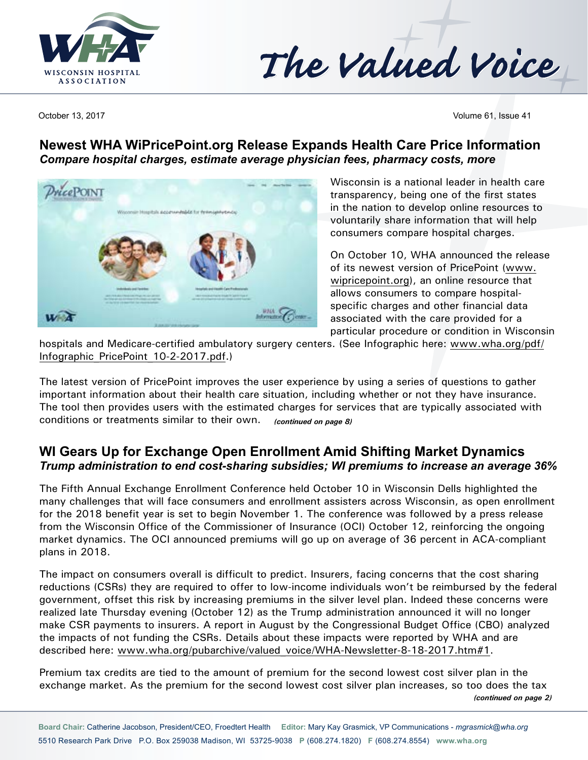



October 13, 2017 **Volume 61, Issue 41** Volume 61, Issue 41

## **Newest WHA [WiPricePoint.org](http://WiPricePoint.org) Release Expands Health Care Price Information** *Compare hospital charges, estimate average physician fees, pharmacy costs, more*



Wisconsin is a national leader in health care transparency, being one of the first states in the nation to develop online resources to voluntarily share information that will help consumers compare hospital charges.

On October 10, WHA announced the release of its newest version of PricePoint ([www.](http://www.wipricepoint.org) [wipricepoint.org](http://www.wipricepoint.org)), an online resource that allows consumers to compare hospitalspecific charges and other financial data associated with the care provided for a particular procedure or condition in Wisconsin

hospitals and Medicare-certified ambulatory surgery centers. (See Infographic here: [www.wha.org/pdf/](http://www.wha.org/pdf/Infographic_PricePoint_10-2-2017.pdf) [Infographic\\_PricePoint\\_10-2-2017.pdf](http://www.wha.org/pdf/Infographic_PricePoint_10-2-2017.pdf).)

The latest version of PricePoint improves the user experience by using a series of questions to gather important information about their health care situation, including whether or not they have insurance. The tool then provides users with the estimated charges for services that are typically associated with conditions or treatments similar to their own. *(continued on page 8)*

## **WI Gears Up for Exchange Open Enrollment Amid Shifting Market Dynamics** *Trump administration to end cost-sharing subsidies; WI premiums to increase an average 36%*

The Fifth Annual Exchange Enrollment Conference held October 10 in Wisconsin Dells highlighted the many challenges that will face consumers and enrollment assisters across Wisconsin, as open enrollment for the 2018 benefit year is set to begin November 1. The conference was followed by a press release from the Wisconsin Office of the Commissioner of Insurance (OCI) October 12, reinforcing the ongoing market dynamics. The OCI announced premiums will go up on average of 36 percent in ACA-compliant plans in 2018.

The impact on consumers overall is difficult to predict. Insurers, facing concerns that the cost sharing reductions (CSRs) they are required to offer to low-income individuals won't be reimbursed by the federal government, offset this risk by increasing premiums in the silver level plan. Indeed these concerns were realized late Thursday evening (October 12) as the Trump administration announced it will no longer make CSR payments to insurers. A report in August by the Congressional Budget Office (CBO) analyzed the impacts of not funding the CSRs. Details about these impacts were reported by WHA and are described here: [www.wha.org/pubarchive/valued\\_voice/WHA-Newsletter-8-18-2017.htm#](http://www.wha.org/pubarchive/valued_voice/WHA-Newsletter-8-18-2017.htm)1.

Premium tax credits are tied to the amount of premium for the second lowest cost silver plan in the exchange market. As the premium for the second lowest cost silver plan increases, so too does the tax *(continued on page 2)*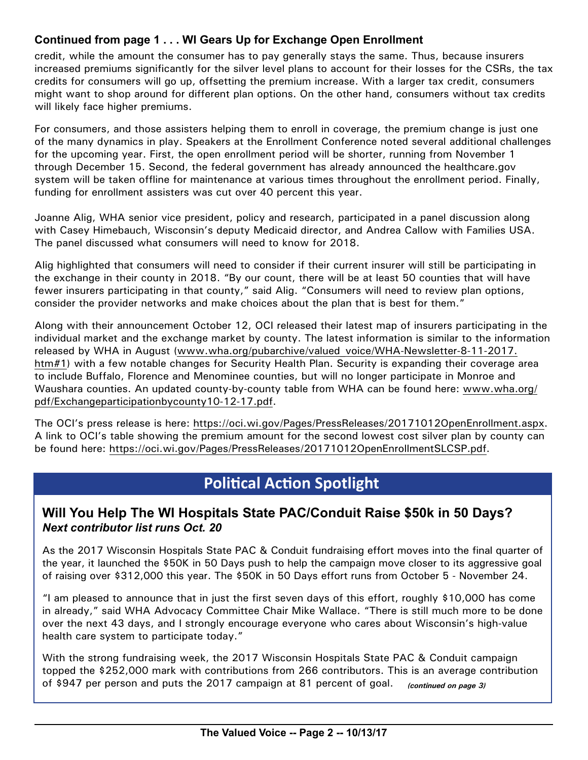## **Continued from page 1 . . . WI Gears Up for Exchange Open Enrollment**

credit, while the amount the consumer has to pay generally stays the same. Thus, because insurers increased premiums significantly for the silver level plans to account for their losses for the CSRs, the tax credits for consumers will go up, offsetting the premium increase. With a larger tax credit, consumers might want to shop around for different plan options. On the other hand, consumers without tax credits will likely face higher premiums.

For consumers, and those assisters helping them to enroll in coverage, the premium change is just one of the many dynamics in play. Speakers at the Enrollment Conference noted several additional challenges for the upcoming year. First, the open enrollment period will be shorter, running from November 1 through December 15. Second, the federal government has already announced the [healthcare.gov](http://healthcare.gov) system will be taken offline for maintenance at various times throughout the enrollment period. Finally, funding for enrollment assisters was cut over 40 percent this year.

Joanne Alig, WHA senior vice president, policy and research, participated in a panel discussion along with Casey Himebauch, Wisconsin's deputy Medicaid director, and Andrea Callow with Families USA. The panel discussed what consumers will need to know for 2018.

Alig highlighted that consumers will need to consider if their current insurer will still be participating in the exchange in their county in 2018. "By our count, there will be at least 50 counties that will have fewer insurers participating in that county," said Alig. "Consumers will need to review plan options, consider the provider networks and make choices about the plan that is best for them."

Along with their announcement October 12, OCI released their latest map of insurers participating in the individual market and the exchange market by county. The latest information is similar to the information released by WHA in August (www.wha.org/pubarchive/valued voice/WHA-Newsletter-8-11-2017. [htm#](http://www.wha.org/pubarchive/valued_voice/WHA-Newsletter-8-11-2017.htm)1) with a few notable changes for Security Health Plan. Security is expanding their coverage area to include Buffalo, Florence and Menominee counties, but will no longer participate in Monroe and Waushara counties. An updated county-by-county table from WHA can be found here: [www.wha.org/](http://www.wha.org/pdf/Exchangeparticipationbycounty10-12-17.pdf) [pdf/Exchangeparticipationbycounty10-12-17.pdf](http://www.wha.org/pdf/Exchangeparticipationbycounty10-12-17.pdf).

The OCI's press release is here: [https://oci.wi.gov/Pages/PressReleases/20171012OpenEnrollment.aspx.](https://oci.wi.gov/Pages/PressReleases/20171012OpenEnrollment.aspx) A link to OCI's table showing the premium amount for the second lowest cost silver plan by county can be found here: [https://oci.wi.gov/Pages/PressReleases/20171012OpenEnrollmentSLCSP.pdf.](https://oci.wi.gov/Pages/PressReleases/20171012OpenEnrollmentSLCSP.pdf)

# **Political Action Spotlight**

## **Will You Help The WI Hospitals State PAC/Conduit Raise \$50k in 50 Days?**  *Next contributor list runs Oct. 20*

As the 2017 Wisconsin Hospitals State PAC & Conduit fundraising effort moves into the final quarter of the year, it launched the \$50K in 50 Days push to help the campaign move closer to its aggressive goal of raising over \$312,000 this year. The \$50K in 50 Days effort runs from October 5 - November 24.

"I am pleased to announce that in just the first seven days of this effort, roughly \$10,000 has come in already," said WHA Advocacy Committee Chair Mike Wallace. "There is still much more to be done over the next 43 days, and I strongly encourage everyone who cares about Wisconsin's high-value health care system to participate today."

With the strong fundraising week, the 2017 Wisconsin Hospitals State PAC & Conduit campaign topped the \$252,000 mark with contributions from 266 contributors. This is an average contribution of \$947 per person and puts the 2017 campaign at 81 percent of goal. *(continued on page 3)*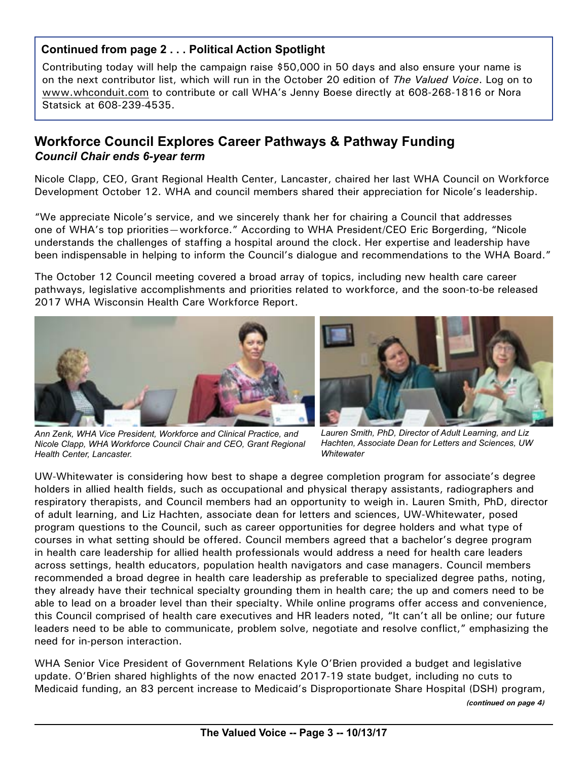#### **Continued from page 2 . . . Political Action Spotlight**

Contributing today will help the campaign raise \$50,000 in 50 days and also ensure your name is on the next contributor list, which will run in the October 20 edition of *The Valued Voice*. Log on to [www.whconduit.com](http://www.whconduit.com) to contribute or call WHA's Jenny Boese directly at 608-268-1816 or Nora Statsick at 608-239-4535.

## **Workforce Council Explores Career Pathways & Pathway Funding**  *Council Chair ends 6-year term*

Nicole Clapp, CEO, Grant Regional Health Center, Lancaster, chaired her last WHA Council on Workforce Development October 12. WHA and council members shared their appreciation for Nicole's leadership.

"We appreciate Nicole's service, and we sincerely thank her for chairing a Council that addresses one of WHA's top priorities—workforce." According to WHA President/CEO Eric Borgerding, "Nicole understands the challenges of staffing a hospital around the clock. Her expertise and leadership have been indispensable in helping to inform the Council's dialogue and recommendations to the WHA Board."

The October 12 Council meeting covered a broad array of topics, including new health care career pathways, legislative accomplishments and priorities related to workforce, and the soon-to-be released 2017 WHA Wisconsin Health Care Workforce Report.





*Ann Zenk, WHA Vice President, Workforce and Clinical Practice, and Nicole Clapp, WHA Workforce Council Chair and CEO, Grant Regional Health Center, Lancaster.*

*Lauren Smith, PhD, Director of Adult Learning, and Liz Hachten, Associate Dean for Letters and Sciences, UW Whitewater*

UW-Whitewater is considering how best to shape a degree completion program for associate's degree holders in allied health fields, such as occupational and physical therapy assistants, radiographers and respiratory therapists, and Council members had an opportunity to weigh in. Lauren Smith, PhD, director of adult learning, and Liz Hachten, associate dean for letters and sciences, UW-Whitewater, posed program questions to the Council, such as career opportunities for degree holders and what type of courses in what setting should be offered. Council members agreed that a bachelor's degree program in health care leadership for allied health professionals would address a need for health care leaders across settings, health educators, population health navigators and case managers. Council members recommended a broad degree in health care leadership as preferable to specialized degree paths, noting, they already have their technical specialty grounding them in health care; the up and comers need to be able to lead on a broader level than their specialty. While online programs offer access and convenience, this Council comprised of health care executives and HR leaders noted, "It can't all be online; our future leaders need to be able to communicate, problem solve, negotiate and resolve conflict," emphasizing the need for in-person interaction.

WHA Senior Vice President of Government Relations Kyle O'Brien provided a budget and legislative update. O'Brien shared highlights of the now enacted 2017-19 state budget, including no cuts to Medicaid funding, an 83 percent increase to Medicaid's Disproportionate Share Hospital (DSH) program,

*(continued on page 4)*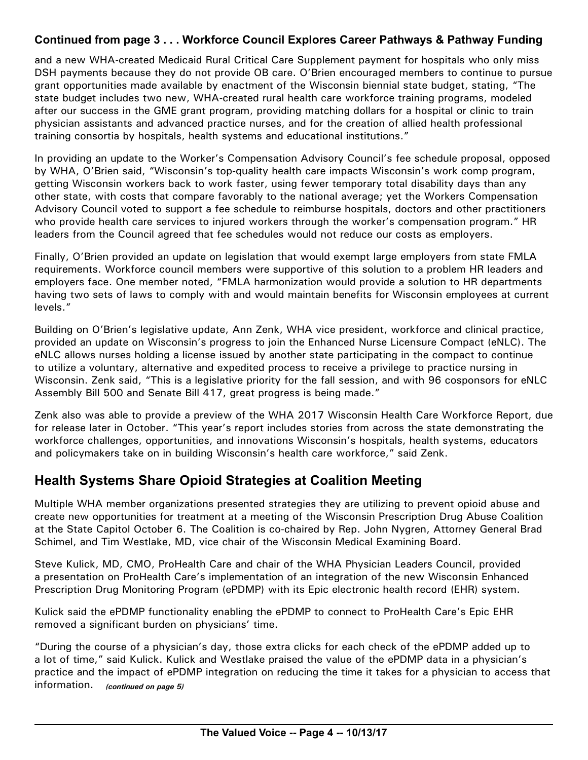### **Continued from page 3 . . . Workforce Council Explores Career Pathways & Pathway Funding**

and a new WHA-created Medicaid Rural Critical Care Supplement payment for hospitals who only miss DSH payments because they do not provide OB care. O'Brien encouraged members to continue to pursue grant opportunities made available by enactment of the Wisconsin biennial state budget, stating, "The state budget includes two new, WHA-created rural health care workforce training programs, modeled after our success in the GME grant program, providing matching dollars for a hospital or clinic to train physician assistants and advanced practice nurses, and for the creation of allied health professional training consortia by hospitals, health systems and educational institutions."

In providing an update to the Worker's Compensation Advisory Council's fee schedule proposal, opposed by WHA, O'Brien said, "Wisconsin's top-quality health care impacts Wisconsin's work comp program, getting Wisconsin workers back to work faster, using fewer temporary total disability days than any other state, with costs that compare favorably to the national average; yet the Workers Compensation Advisory Council voted to support a fee schedule to reimburse hospitals, doctors and other practitioners who provide health care services to injured workers through the worker's compensation program." HR leaders from the Council agreed that fee schedules would not reduce our costs as employers.

Finally, O'Brien provided an update on legislation that would exempt large employers from state FMLA requirements. Workforce council members were supportive of this solution to a problem HR leaders and employers face. One member noted, "FMLA harmonization would provide a solution to HR departments having two sets of laws to comply with and would maintain benefits for Wisconsin employees at current levels."

Building on O'Brien's legislative update, Ann Zenk, WHA vice president, workforce and clinical practice, provided an update on Wisconsin's progress to join the Enhanced Nurse Licensure Compact (eNLC). The eNLC allows nurses holding a license issued by another state participating in the compact to continue to utilize a voluntary, alternative and expedited process to receive a privilege to practice nursing in Wisconsin. Zenk said, "This is a legislative priority for the fall session, and with 96 cosponsors for eNLC Assembly Bill 500 and Senate Bill 417, great progress is being made."

Zenk also was able to provide a preview of the WHA 2017 Wisconsin Health Care Workforce Report, due for release later in October. "This year's report includes stories from across the state demonstrating the workforce challenges, opportunities, and innovations Wisconsin's hospitals, health systems, educators and policymakers take on in building Wisconsin's health care workforce," said Zenk.

# **Health Systems Share Opioid Strategies at Coalition Meeting**

Multiple WHA member organizations presented strategies they are utilizing to prevent opioid abuse and create new opportunities for treatment at a meeting of the Wisconsin Prescription Drug Abuse Coalition at the State Capitol October 6. The Coalition is co-chaired by Rep. John Nygren, Attorney General Brad Schimel, and Tim Westlake, MD, vice chair of the Wisconsin Medical Examining Board.

Steve Kulick, MD, CMO, ProHealth Care and chair of the WHA Physician Leaders Council, provided a presentation on ProHealth Care's implementation of an integration of the new Wisconsin Enhanced Prescription Drug Monitoring Program (ePDMP) with its Epic electronic health record (EHR) system.

Kulick said the ePDMP functionality enabling the ePDMP to connect to ProHealth Care's Epic EHR removed a significant burden on physicians' time.

"During the course of a physician's day, those extra clicks for each check of the ePDMP added up to a lot of time," said Kulick. Kulick and Westlake praised the value of the ePDMP data in a physician's practice and the impact of ePDMP integration on reducing the time it takes for a physician to access that information. *(continued on page 5)*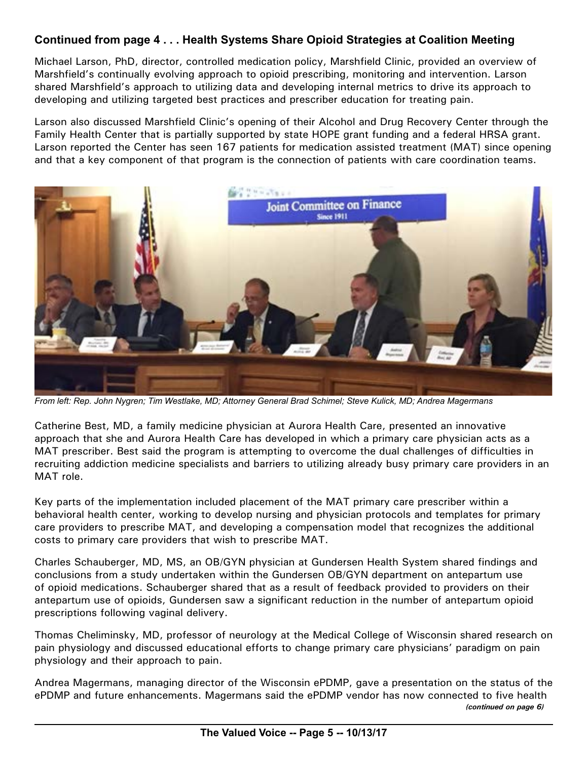## **Continued from page 4 . . . Health Systems Share Opioid Strategies at Coalition Meeting**

Michael Larson, PhD, director, controlled medication policy, Marshfield Clinic, provided an overview of Marshfield's continually evolving approach to opioid prescribing, monitoring and intervention. Larson shared Marshfield's approach to utilizing data and developing internal metrics to drive its approach to developing and utilizing targeted best practices and prescriber education for treating pain.

Larson also discussed Marshfield Clinic's opening of their Alcohol and Drug Recovery Center through the Family Health Center that is partially supported by state HOPE grant funding and a federal HRSA grant. Larson reported the Center has seen 167 patients for medication assisted treatment (MAT) since opening and that a key component of that program is the connection of patients with care coordination teams.



*From left: Rep. John Nygren; Tim Westlake, MD; Attorney General Brad Schimel; Steve Kulick, MD; Andrea Magermans*

Catherine Best, MD, a family medicine physician at Aurora Health Care, presented an innovative approach that she and Aurora Health Care has developed in which a primary care physician acts as a MAT prescriber. Best said the program is attempting to overcome the dual challenges of difficulties in recruiting addiction medicine specialists and barriers to utilizing already busy primary care providers in an MAT role.

Key parts of the implementation included placement of the MAT primary care prescriber within a behavioral health center, working to develop nursing and physician protocols and templates for primary care providers to prescribe MAT, and developing a compensation model that recognizes the additional costs to primary care providers that wish to prescribe MAT.

Charles Schauberger, MD, MS, an OB/GYN physician at Gundersen Health System shared findings and conclusions from a study undertaken within the Gundersen OB/GYN department on antepartum use of opioid medications. Schauberger shared that as a result of feedback provided to providers on their antepartum use of opioids, Gundersen saw a significant reduction in the number of antepartum opioid prescriptions following vaginal delivery.

Thomas Cheliminsky, MD, professor of neurology at the Medical College of Wisconsin shared research on pain physiology and discussed educational efforts to change primary care physicians' paradigm on pain physiology and their approach to pain.

Andrea Magermans, managing director of the Wisconsin ePDMP, gave a presentation on the status of the ePDMP and future enhancements. Magermans said the ePDMP vendor has now connected to five health *(continued on page 6)*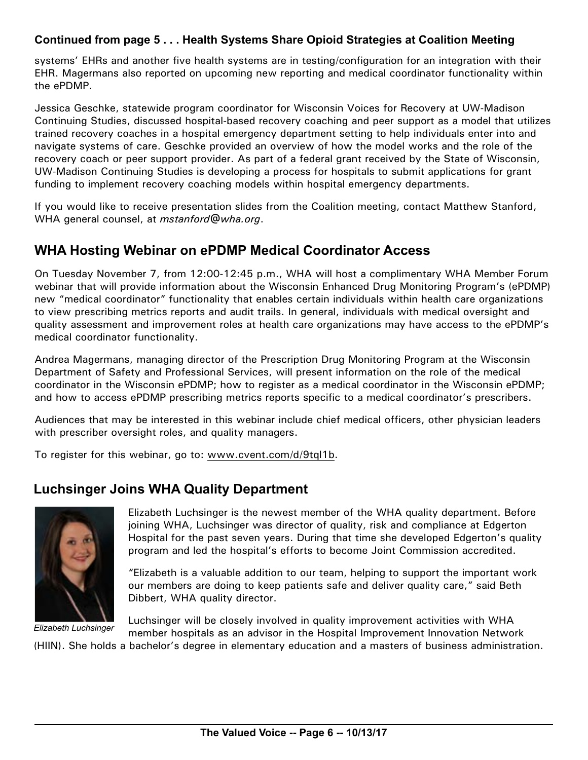#### **Continued from page 5 . . . Health Systems Share Opioid Strategies at Coalition Meeting**

systems' EHRs and another five health systems are in testing/configuration for an integration with their EHR. Magermans also reported on upcoming new reporting and medical coordinator functionality within the ePDMP.

Jessica Geschke, statewide program coordinator for Wisconsin Voices for Recovery at UW-Madison Continuing Studies, discussed hospital-based recovery coaching and peer support as a model that utilizes trained recovery coaches in a hospital emergency department setting to help individuals enter into and navigate systems of care. Geschke provided an overview of how the model works and the role of the recovery coach or peer support provider. As part of a federal grant received by the State of Wisconsin, UW-Madison Continuing Studies is developing a process for hospitals to submit applications for grant funding to implement recovery coaching models within hospital emergency departments.

If you would like to receive presentation slides from the Coalition meeting, contact Matthew Stanford, WHA general counsel, at *[mstanford@wha.org](mailto:mstanford@wha.org)*.

## **WHA Hosting Webinar on ePDMP Medical Coordinator Access**

On Tuesday November 7, from 12:00-12:45 p.m., WHA will host a complimentary WHA Member Forum webinar that will provide information about the Wisconsin Enhanced Drug Monitoring Program's (ePDMP) new "medical coordinator" functionality that enables certain individuals within health care organizations to view prescribing metrics reports and audit trails. In general, individuals with medical oversight and quality assessment and improvement roles at health care organizations may have access to the ePDMP's medical coordinator functionality.

Andrea Magermans, managing director of the Prescription Drug Monitoring Program at the Wisconsin Department of Safety and Professional Services, will present information on the role of the medical coordinator in the Wisconsin ePDMP; how to register as a medical coordinator in the Wisconsin ePDMP; and how to access ePDMP prescribing metrics reports specific to a medical coordinator's prescribers.

Audiences that may be interested in this webinar include chief medical officers, other physician leaders with prescriber oversight roles, and quality managers.

To register for this webinar, go to: [www.cvent.com/](http://www.cvent.com/d/9tql1b)d/9tql1b.

# **Luchsinger Joins WHA Quality Department**



*Elizabeth Luchsinger*

Elizabeth Luchsinger is the newest member of the WHA quality department. Before joining WHA, Luchsinger was director of quality, risk and compliance at Edgerton Hospital for the past seven years. During that time she developed Edgerton's quality program and led the hospital's efforts to become Joint Commission accredited.

"Elizabeth is a valuable addition to our team, helping to support the important work our members are doing to keep patients safe and deliver quality care," said Beth Dibbert, WHA quality director.

Luchsinger will be closely involved in quality improvement activities with WHA member hospitals as an advisor in the Hospital Improvement Innovation Network

(HIIN). She holds a bachelor's degree in elementary education and a masters of business administration.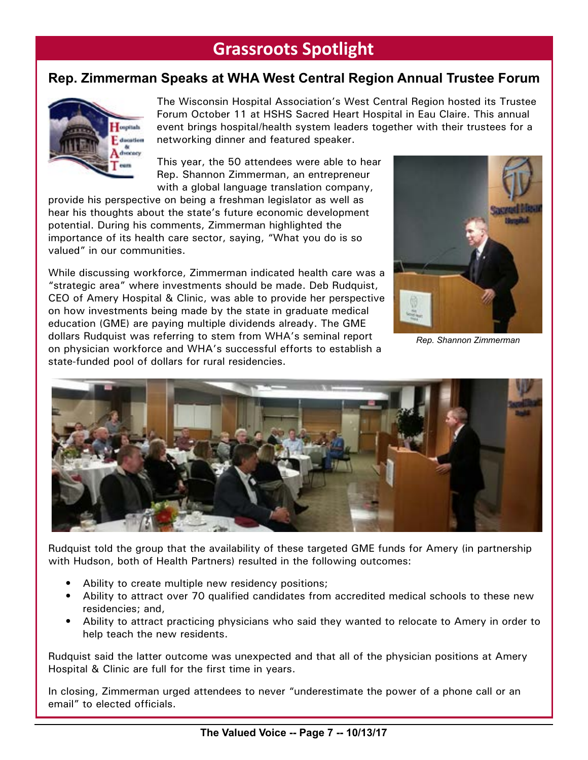# **Grassroots Spotlight**

# **Rep. Zimmerman Speaks at WHA West Central Region Annual Trustee Forum**



The Wisconsin Hospital Association's West Central Region hosted its Trustee Forum October 11 at HSHS Sacred Heart Hospital in Eau Claire. This annual event brings hospital/health system leaders together with their trustees for a networking dinner and featured speaker.

This year, the 50 attendees were able to hear Rep. Shannon Zimmerman, an entrepreneur with a global language translation company,

provide his perspective on being a freshman legislator as well as hear his thoughts about the state's future economic development potential. During his comments, Zimmerman highlighted the importance of its health care sector, saying, "What you do is so valued" in our communities.

While discussing workforce, Zimmerman indicated health care was a "strategic area" where investments should be made. Deb Rudquist, CEO of Amery Hospital & Clinic, was able to provide her perspective on how investments being made by the state in graduate medical education (GME) are paying multiple dividends already. The GME dollars Rudquist was referring to stem from WHA's seminal report on physician workforce and WHA's successful efforts to establish a state-funded pool of dollars for rural residencies.



*Rep. Shannon Zimmerman*



Rudquist told the group that the availability of these targeted GME funds for Amery (in partnership with Hudson, both of Health Partners) resulted in the following outcomes:

- Ability to create multiple new residency positions;
- Ability to attract over 70 qualified candidates from accredited medical schools to these new residencies; and,
- Ability to attract practicing physicians who said they wanted to relocate to Amery in order to help teach the new residents.

Rudquist said the latter outcome was unexpected and that all of the physician positions at Amery Hospital & Clinic are full for the first time in years.

In closing, Zimmerman urged attendees to never "underestimate the power of a phone call or an email" to elected officials.